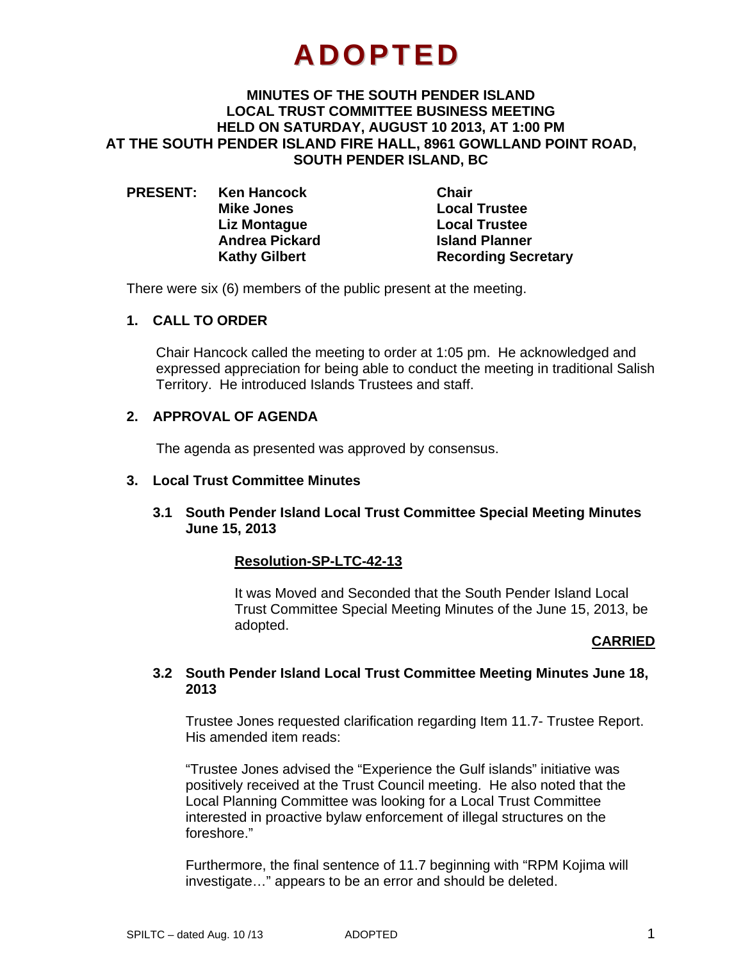# **ADOPTED**

#### **MINUTES OF THE SOUTH PENDER ISLAND LOCAL TRUST COMMITTEE BUSINESS MEETING HELD ON SATURDAY, AUGUST 10 2013, AT 1:00 PM AT THE SOUTH PENDER ISLAND FIRE HALL, 8961 GOWLLAND POINT ROAD, SOUTH PENDER ISLAND, BC**

| <b>PRESENT:</b> | <b>Ken Hancock</b>    | <b>Chair</b>               |
|-----------------|-----------------------|----------------------------|
|                 | <b>Mike Jones</b>     | <b>Local Trustee</b>       |
|                 | Liz Montague          | <b>Local Trustee</b>       |
|                 | <b>Andrea Pickard</b> | <b>Island Planner</b>      |
|                 | <b>Kathy Gilbert</b>  | <b>Recording Secretary</b> |

There were six (6) members of the public present at the meeting.

#### **1. CALL TO ORDER**

Chair Hancock called the meeting to order at 1:05 pm. He acknowledged and expressed appreciation for being able to conduct the meeting in traditional Salish Territory. He introduced Islands Trustees and staff.

### **2. APPROVAL OF AGENDA**

The agenda as presented was approved by consensus.

#### **3. Local Trust Committee Minutes**

#### **3.1 South Pender Island Local Trust Committee Special Meeting Minutes June 15, 2013**

#### **Resolution-SP-LTC-42-13**

It was Moved and Seconded that the South Pender Island Local Trust Committee Special Meeting Minutes of the June 15, 2013, be adopted.

#### **CARRIED**

#### **3.2 South Pender Island Local Trust Committee Meeting Minutes June 18, 2013**

Trustee Jones requested clarification regarding Item 11.7- Trustee Report. His amended item reads:

"Trustee Jones advised the "Experience the Gulf islands" initiative was positively received at the Trust Council meeting. He also noted that the Local Planning Committee was looking for a Local Trust Committee interested in proactive bylaw enforcement of illegal structures on the foreshore."

Furthermore, the final sentence of 11.7 beginning with "RPM Kojima will investigate…" appears to be an error and should be deleted.